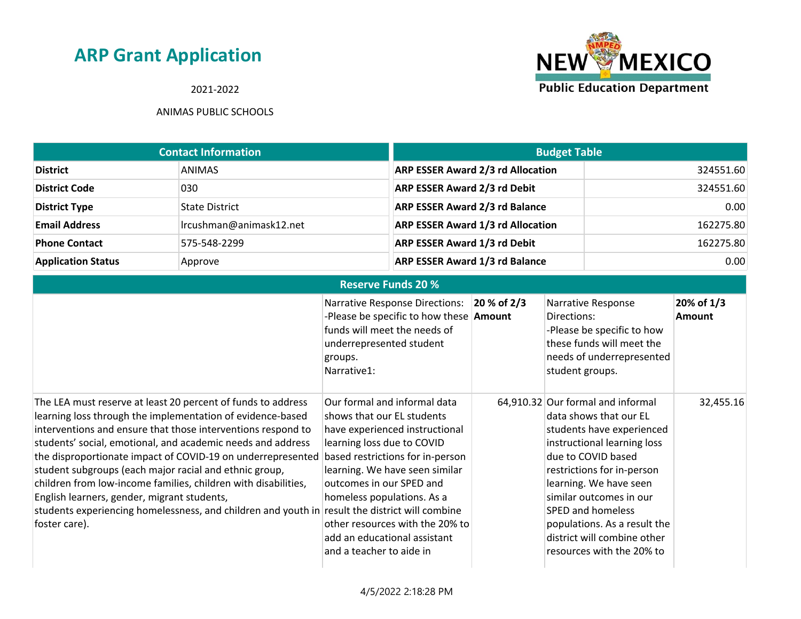### 2021-2022



| <b>Contact Information</b> |                         | <b>Budget Table</b>                      |           |
|----------------------------|-------------------------|------------------------------------------|-----------|
| <b>District</b>            | <b>ANIMAS</b>           | <b>ARP ESSER Award 2/3 rd Allocation</b> | 324551.60 |
| <b>District Code</b>       | 030                     | <b>ARP ESSER Award 2/3 rd Debit</b>      | 324551.60 |
| <b>District Type</b>       | <b>State District</b>   | <b>ARP ESSER Award 2/3 rd Balance</b>    | 0.00      |
| <b>Email Address</b>       | Ircushman@animask12.net | <b>ARP ESSER Award 1/3 rd Allocation</b> | 162275.80 |
| <b>Phone Contact</b>       | 575-548-2299            | <b>ARP ESSER Award 1/3 rd Debit</b>      | 162275.80 |
| <b>Application Status</b>  | Approve                 | <b>ARP ESSER Award 1/3 rd Balance</b>    | 0.00      |

|                                                                                                                                                                                                                                                                                                                                                                                                                                                                                                                                                                                                                        | <b>Reserve Funds 20 %</b>                                                                                                                                                                                                                                                                                                                                 |             |                                                                                                                                                                                                                                                                                                                                                   |                             |
|------------------------------------------------------------------------------------------------------------------------------------------------------------------------------------------------------------------------------------------------------------------------------------------------------------------------------------------------------------------------------------------------------------------------------------------------------------------------------------------------------------------------------------------------------------------------------------------------------------------------|-----------------------------------------------------------------------------------------------------------------------------------------------------------------------------------------------------------------------------------------------------------------------------------------------------------------------------------------------------------|-------------|---------------------------------------------------------------------------------------------------------------------------------------------------------------------------------------------------------------------------------------------------------------------------------------------------------------------------------------------------|-----------------------------|
|                                                                                                                                                                                                                                                                                                                                                                                                                                                                                                                                                                                                                        | Narrative Response Directions:<br>-Please be specific to how these $\Delta$ mount<br>funds will meet the needs of<br>underrepresented student<br>groups.<br>Narrative1:                                                                                                                                                                                   | 20 % of 2/3 | Narrative Response<br>Directions:<br>-Please be specific to how<br>these funds will meet the<br>needs of underrepresented<br>student groups.                                                                                                                                                                                                      | 20% of 1/3<br><b>Amount</b> |
| The LEA must reserve at least 20 percent of funds to address<br>learning loss through the implementation of evidence-based<br>interventions and ensure that those interventions respond to<br>students' social, emotional, and academic needs and address<br>the disproportionate impact of COVID-19 on underrepresented<br>student subgroups (each major racial and ethnic group,<br>children from low-income families, children with disabilities,<br>English learners, gender, migrant students,<br>students experiencing homelessness, and children and youth in result the district will combine<br>foster care). | Our formal and informal data<br>shows that our EL students<br>have experienced instructional<br>learning loss due to COVID<br>based restrictions for in-person<br>learning. We have seen similar<br>outcomes in our SPED and<br>homeless populations. As a<br>other resources with the 20% to<br>add an educational assistant<br>and a teacher to aide in |             | 64,910.32 Our formal and informal<br>data shows that our EL<br>students have experienced<br>instructional learning loss<br>due to COVID based<br>restrictions for in-person<br>learning. We have seen<br>similar outcomes in our<br>SPED and homeless<br>populations. As a result the<br>district will combine other<br>resources with the 20% to | 32,455.16                   |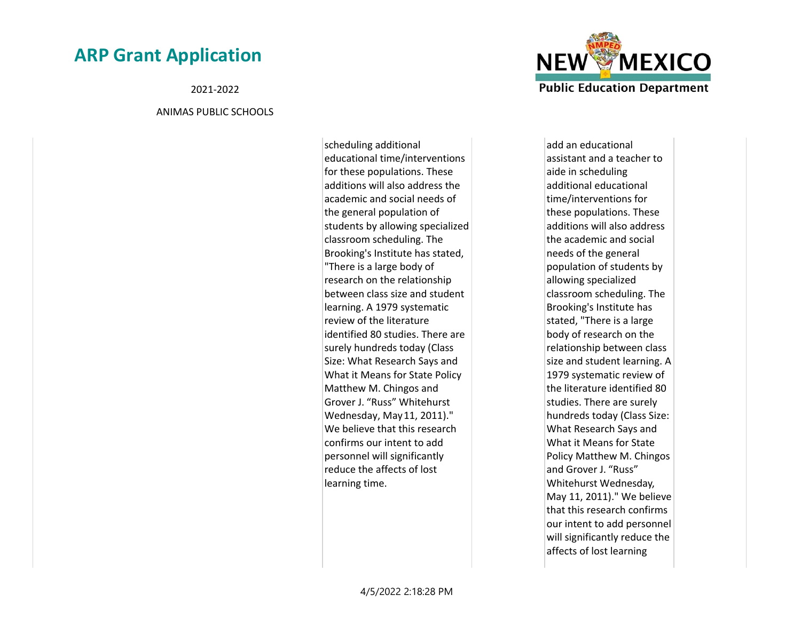2021-2022

#### ANIMAS PUBLIC SCHOOLS

scheduling additional educational time/interventions for these populations. These additions will also address the academic and social needs of the general population of students by allowing specialized classroom scheduling. The Brooking's Institute has stated, "There is a large body of research on the relationship between class size and student learning. A 1979 systematic review of the literature identified 80 studies. There are surely hundreds today (Class Size: What Research Says and What it Means for State Policy Matthew M. Chingos and Grover J. "Russ" Whitehurst Wednesday, May 11, 2011)." We believe that this research confirms our intent to add personnel will significantly reduce the affects of lost learning time.



add an educational assistant and a teacher to aide in scheduling additional educational time/interventions for these populations. These additions will also address the academic and social needs of the general population of students by allowing specialized classroom scheduling. The Brooking's Institute has stated, "There is a large body of research on the relationship between class size and student learning. A 1979 systematic review of the literature identified 80 studies. There are surely hundreds today (Class Size: What Research Says and What it Means for State Policy Matthew M. Chingos and Grover J. "Russ" Whitehurst Wednesday, May 11, 2011)." We believe that this research confirms our intent to add personnel will significantly reduce the affects of lost learning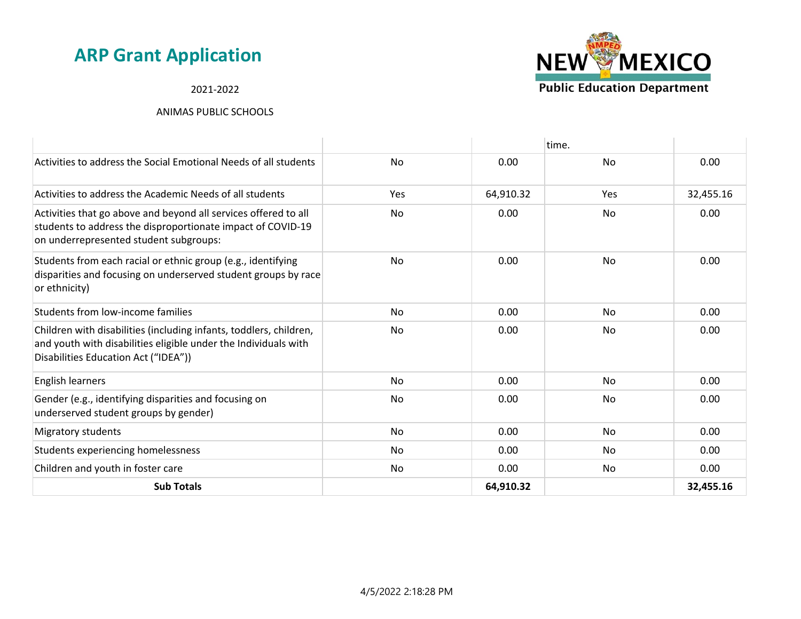#### 2021-2022



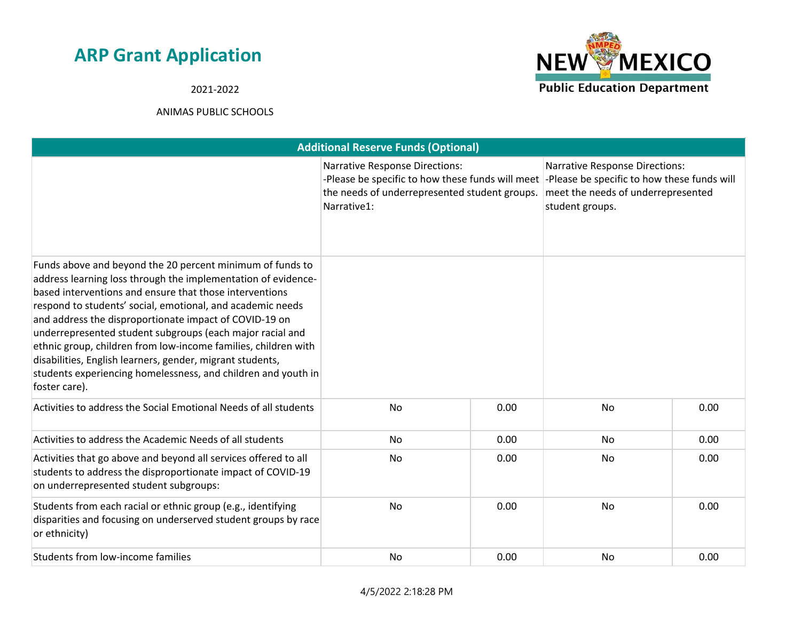**NEW MEXICO Public Education Department** 

2021-2022

|                                                                                                                                                                                                                                                                                                                                                                                                                                                                                                                                                                                             | <b>Additional Reserve Funds (Optional)</b>                                                                                                                |      |                                                                                                                                               |      |
|---------------------------------------------------------------------------------------------------------------------------------------------------------------------------------------------------------------------------------------------------------------------------------------------------------------------------------------------------------------------------------------------------------------------------------------------------------------------------------------------------------------------------------------------------------------------------------------------|-----------------------------------------------------------------------------------------------------------------------------------------------------------|------|-----------------------------------------------------------------------------------------------------------------------------------------------|------|
|                                                                                                                                                                                                                                                                                                                                                                                                                                                                                                                                                                                             | <b>Narrative Response Directions:</b><br>-Please be specific to how these funds will meet<br>the needs of underrepresented student groups.<br>Narrative1: |      | <b>Narrative Response Directions:</b><br>-Please be specific to how these funds will<br>meet the needs of underrepresented<br>student groups. |      |
| Funds above and beyond the 20 percent minimum of funds to<br>address learning loss through the implementation of evidence-<br>based interventions and ensure that those interventions<br>respond to students' social, emotional, and academic needs<br>and address the disproportionate impact of COVID-19 on<br>underrepresented student subgroups (each major racial and<br>ethnic group, children from low-income families, children with<br>disabilities, English learners, gender, migrant students,<br>students experiencing homelessness, and children and youth in<br>foster care). |                                                                                                                                                           |      |                                                                                                                                               |      |
| Activities to address the Social Emotional Needs of all students                                                                                                                                                                                                                                                                                                                                                                                                                                                                                                                            | <b>No</b>                                                                                                                                                 | 0.00 | <b>No</b>                                                                                                                                     | 0.00 |
| Activities to address the Academic Needs of all students                                                                                                                                                                                                                                                                                                                                                                                                                                                                                                                                    | <b>No</b>                                                                                                                                                 | 0.00 | <b>No</b>                                                                                                                                     | 0.00 |
| Activities that go above and beyond all services offered to all<br>students to address the disproportionate impact of COVID-19<br>on underrepresented student subgroups:                                                                                                                                                                                                                                                                                                                                                                                                                    | No                                                                                                                                                        | 0.00 | No                                                                                                                                            | 0.00 |
| Students from each racial or ethnic group (e.g., identifying<br>disparities and focusing on underserved student groups by race<br>or ethnicity)                                                                                                                                                                                                                                                                                                                                                                                                                                             | No                                                                                                                                                        | 0.00 | <b>No</b>                                                                                                                                     | 0.00 |
| Students from low-income families                                                                                                                                                                                                                                                                                                                                                                                                                                                                                                                                                           | <b>No</b>                                                                                                                                                 | 0.00 | <b>No</b>                                                                                                                                     | 0.00 |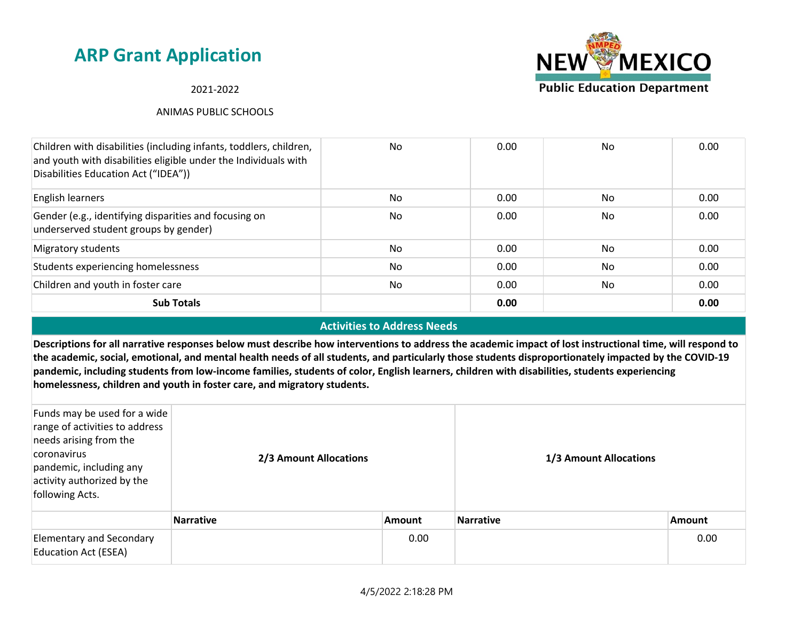#### 2021-2022

#### ANIMAS PUBLIC SCHOOLS



#### **Activities to Address Needs**

**Descriptions for all narrative responses below must describe how interventions to address the academic impact of lost instructional time, will respond to the academic, social, emotional, and mental health needs of all students, and particularly those students disproportionately impacted by the COVID-19 pandemic, including students from low-income families, students of color, English learners, children with disabilities, students experiencing homelessness, children and youth in foster care, and migratory students.**

| Funds may be used for a wide<br>range of activities to address<br>needs arising from the<br>coronavirus<br>pandemic, including any<br>activity authorized by the<br>following Acts. | 2/3 Amount Allocations |               | 1/3 Amount Allocations |               |  |
|-------------------------------------------------------------------------------------------------------------------------------------------------------------------------------------|------------------------|---------------|------------------------|---------------|--|
|                                                                                                                                                                                     | Narrative              | <b>Amount</b> | <b>Narrative</b>       | <b>Amount</b> |  |
| <b>Elementary and Secondary</b><br><b>Education Act (ESEA)</b>                                                                                                                      |                        | 0.00          |                        | 0.00          |  |

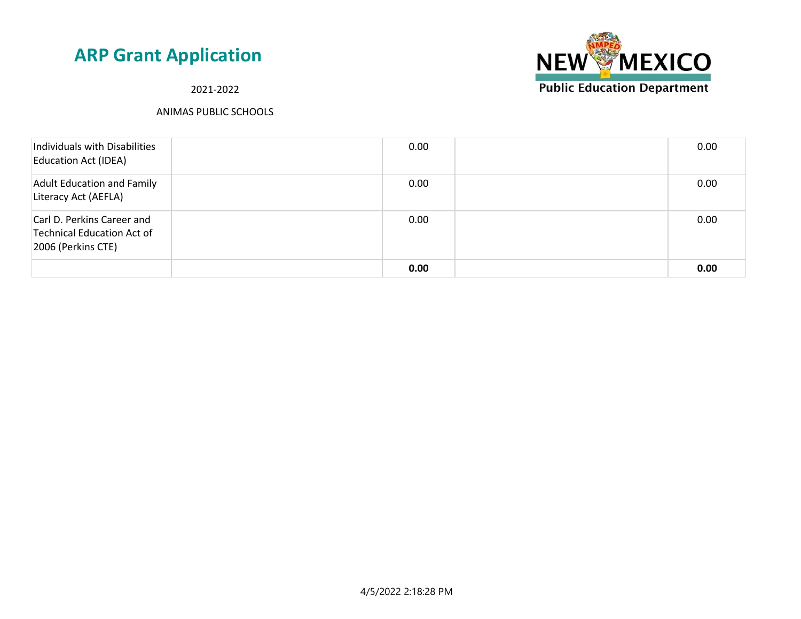

2021-2022

| Individuals with Disabilities<br><b>Education Act (IDEA)</b>                   | 0.00 | 0.00 |
|--------------------------------------------------------------------------------|------|------|
| <b>Adult Education and Family</b><br>Literacy Act (AEFLA)                      | 0.00 | 0.00 |
| Carl D. Perkins Career and<br>Technical Education Act of<br>2006 (Perkins CTE) | 0.00 | 0.00 |
|                                                                                | 0.00 | 0.00 |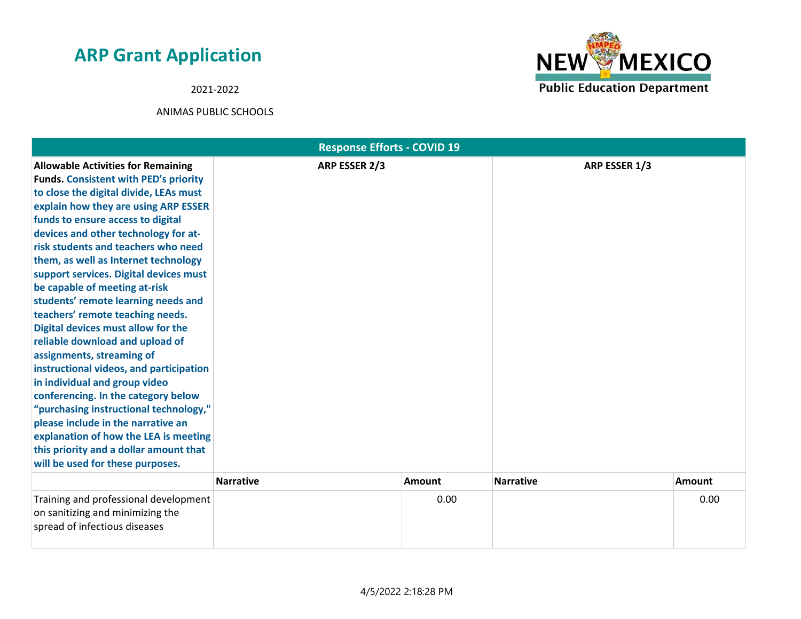2021-2022



|                                                                                                                                                                                                                                                                                                                                                                                                                                                                                                                                                                                                                                                                                                                                                                                                                                                                                                                               | <b>Response Efforts - COVID 19</b> |               |                  |               |
|-------------------------------------------------------------------------------------------------------------------------------------------------------------------------------------------------------------------------------------------------------------------------------------------------------------------------------------------------------------------------------------------------------------------------------------------------------------------------------------------------------------------------------------------------------------------------------------------------------------------------------------------------------------------------------------------------------------------------------------------------------------------------------------------------------------------------------------------------------------------------------------------------------------------------------|------------------------------------|---------------|------------------|---------------|
| <b>Allowable Activities for Remaining</b><br><b>Funds. Consistent with PED's priority</b><br>to close the digital divide, LEAs must<br>explain how they are using ARP ESSER<br>funds to ensure access to digital<br>devices and other technology for at-<br>risk students and teachers who need<br>them, as well as Internet technology<br>support services. Digital devices must<br>be capable of meeting at-risk<br>students' remote learning needs and<br>teachers' remote teaching needs.<br>Digital devices must allow for the<br>reliable download and upload of<br>assignments, streaming of<br>instructional videos, and participation<br>in individual and group video<br>conferencing. In the category below<br>"purchasing instructional technology,"<br>please include in the narrative an<br>explanation of how the LEA is meeting<br>this priority and a dollar amount that<br>will be used for these purposes. | ARP ESSER 2/3                      |               | ARP ESSER 1/3    |               |
|                                                                                                                                                                                                                                                                                                                                                                                                                                                                                                                                                                                                                                                                                                                                                                                                                                                                                                                               | <b>Narrative</b>                   | <b>Amount</b> | <b>Narrative</b> | <b>Amount</b> |
| Training and professional development<br>on sanitizing and minimizing the<br>spread of infectious diseases                                                                                                                                                                                                                                                                                                                                                                                                                                                                                                                                                                                                                                                                                                                                                                                                                    |                                    | 0.00          |                  | 0.00          |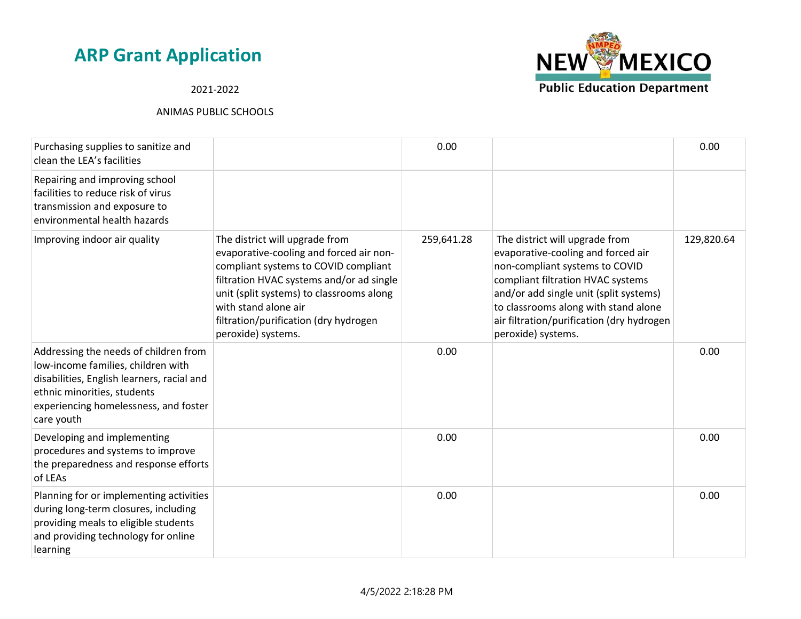### 2021-2022

| Purchasing supplies to sanitize and<br>clean the LEA's facilities                                                                                                                                               |                                                                                                                                                                                                                                                                                                  | 0.00       |                                                                                                                                                                                                                                                                                                  | 0.00       |
|-----------------------------------------------------------------------------------------------------------------------------------------------------------------------------------------------------------------|--------------------------------------------------------------------------------------------------------------------------------------------------------------------------------------------------------------------------------------------------------------------------------------------------|------------|--------------------------------------------------------------------------------------------------------------------------------------------------------------------------------------------------------------------------------------------------------------------------------------------------|------------|
| Repairing and improving school<br>facilities to reduce risk of virus<br>transmission and exposure to<br>environmental health hazards                                                                            |                                                                                                                                                                                                                                                                                                  |            |                                                                                                                                                                                                                                                                                                  |            |
| Improving indoor air quality                                                                                                                                                                                    | The district will upgrade from<br>evaporative-cooling and forced air non-<br>compliant systems to COVID compliant<br>filtration HVAC systems and/or ad single<br>unit (split systems) to classrooms along<br>with stand alone air<br>filtration/purification (dry hydrogen<br>peroxide) systems. | 259,641.28 | The district will upgrade from<br>evaporative-cooling and forced air<br>non-compliant systems to COVID<br>compliant filtration HVAC systems<br>and/or add single unit (split systems)<br>to classrooms along with stand alone<br>air filtration/purification (dry hydrogen<br>peroxide) systems. | 129,820.64 |
| Addressing the needs of children from<br>low-income families, children with<br>disabilities, English learners, racial and<br>ethnic minorities, students<br>experiencing homelessness, and foster<br>care youth |                                                                                                                                                                                                                                                                                                  | 0.00       |                                                                                                                                                                                                                                                                                                  | 0.00       |
| Developing and implementing<br>procedures and systems to improve<br>the preparedness and response efforts<br>of LEAs                                                                                            |                                                                                                                                                                                                                                                                                                  | 0.00       |                                                                                                                                                                                                                                                                                                  | 0.00       |
| Planning for or implementing activities<br>during long-term closures, including<br>providing meals to eligible students<br>and providing technology for online<br>learning                                      |                                                                                                                                                                                                                                                                                                  | 0.00       |                                                                                                                                                                                                                                                                                                  | 0.00       |

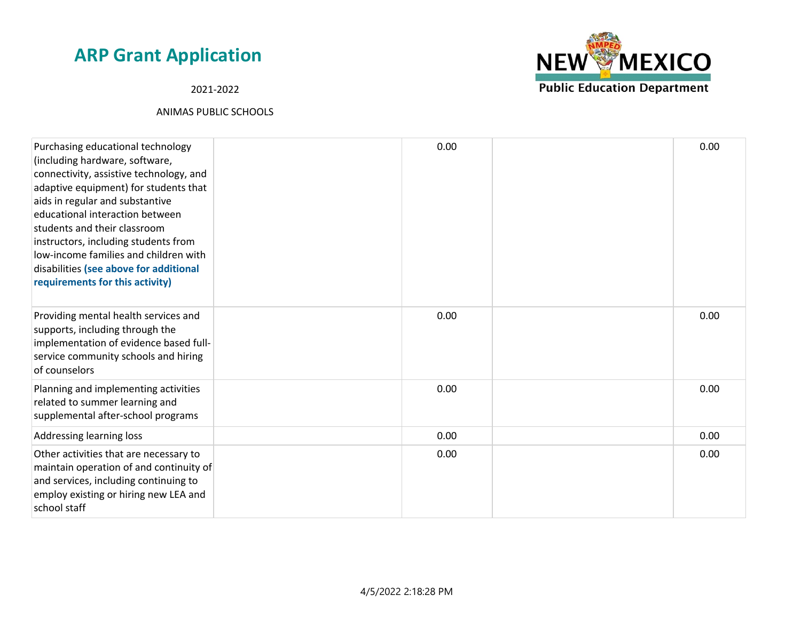2021-2022



| Purchasing educational technology<br>(including hardware, software,<br>connectivity, assistive technology, and<br>adaptive equipment) for students that<br>aids in regular and substantive<br>educational interaction between<br>students and their classroom<br>instructors, including students from<br>low-income families and children with<br>disabilities (see above for additional<br>requirements for this activity) | 0.00 | 0.00 |
|-----------------------------------------------------------------------------------------------------------------------------------------------------------------------------------------------------------------------------------------------------------------------------------------------------------------------------------------------------------------------------------------------------------------------------|------|------|
| Providing mental health services and<br>supports, including through the<br>implementation of evidence based full-<br>service community schools and hiring<br>of counselors                                                                                                                                                                                                                                                  | 0.00 | 0.00 |
| Planning and implementing activities<br>related to summer learning and<br>supplemental after-school programs                                                                                                                                                                                                                                                                                                                | 0.00 | 0.00 |
| Addressing learning loss                                                                                                                                                                                                                                                                                                                                                                                                    | 0.00 | 0.00 |
| Other activities that are necessary to<br>maintain operation of and continuity of<br>and services, including continuing to<br>employ existing or hiring new LEA and<br>school staff                                                                                                                                                                                                                                         | 0.00 | 0.00 |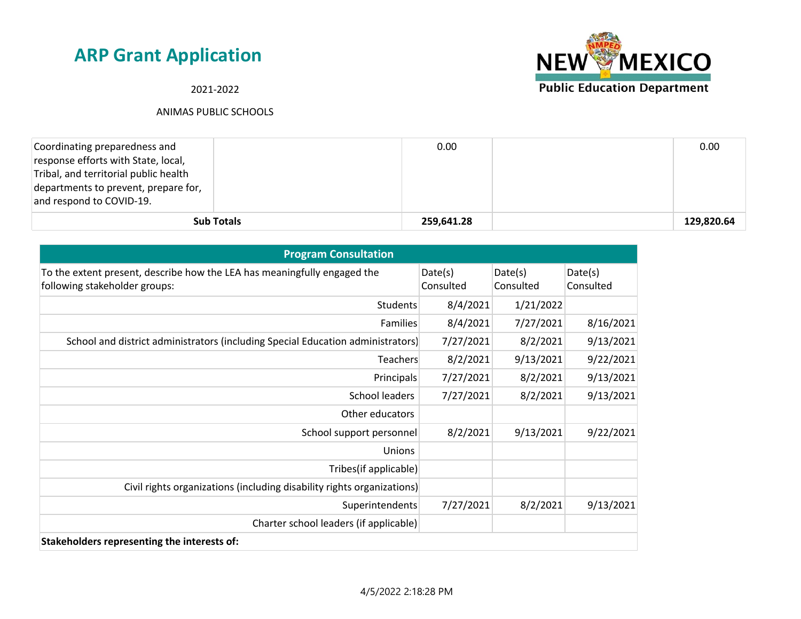

2021-2022

| Coordinating preparedness and         |                   | 0.00       | 0.00       |
|---------------------------------------|-------------------|------------|------------|
| response efforts with State, local,   |                   |            |            |
| Tribal, and territorial public health |                   |            |            |
| departments to prevent, prepare for,  |                   |            |            |
| and respond to COVID-19.              |                   |            |            |
|                                       | <b>Sub Totals</b> | 259,641.28 | 129,820.64 |

| <b>Program Consultation</b>                                                                               |                      |                      |                      |  |
|-----------------------------------------------------------------------------------------------------------|----------------------|----------------------|----------------------|--|
| To the extent present, describe how the LEA has meaningfully engaged the<br>following stakeholder groups: | Date(s)<br>Consulted | Date(s)<br>Consulted | Date(s)<br>Consulted |  |
| <b>Students</b>                                                                                           | 8/4/2021             | 1/21/2022            |                      |  |
| Families                                                                                                  | 8/4/2021             | 7/27/2021            | 8/16/2021            |  |
| School and district administrators (including Special Education administrators)                           | 7/27/2021            | 8/2/2021             | 9/13/2021            |  |
| Teachers                                                                                                  | 8/2/2021             | 9/13/2021            | 9/22/2021            |  |
| Principals                                                                                                | 7/27/2021            | 8/2/2021             | 9/13/2021            |  |
| School leaders                                                                                            | 7/27/2021            | 8/2/2021             | 9/13/2021            |  |
| Other educators                                                                                           |                      |                      |                      |  |
| School support personnel                                                                                  | 8/2/2021             | 9/13/2021            | 9/22/2021            |  |
| <b>Unions</b>                                                                                             |                      |                      |                      |  |
| Tribes(if applicable)                                                                                     |                      |                      |                      |  |
| Civil rights organizations (including disability rights organizations)                                    |                      |                      |                      |  |
| Superintendents                                                                                           | 7/27/2021            | 8/2/2021             | 9/13/2021            |  |
| Charter school leaders (if applicable)                                                                    |                      |                      |                      |  |
| Stakeholders representing the interests of:                                                               |                      |                      |                      |  |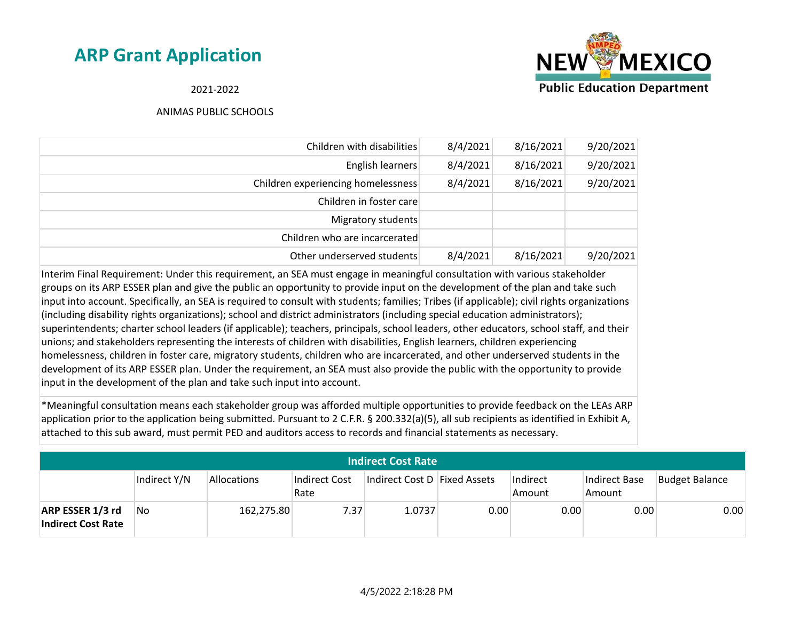

2021-2022

#### ANIMAS PUBLIC SCHOOLS

| 9/20/2021 | 8/16/2021 | 8/4/2021 | Children with disabilities         |
|-----------|-----------|----------|------------------------------------|
| 9/20/2021 | 8/16/2021 | 8/4/2021 | English learners                   |
| 9/20/2021 | 8/16/2021 | 8/4/2021 | Children experiencing homelessness |
|           |           |          | Children in foster care            |
|           |           |          | Migratory students                 |
|           |           |          | Children who are incarcerated      |
| 9/20/2021 | 8/16/2021 | 8/4/2021 | Other underserved students         |

Interim Final Requirement: Under this requirement, an SEA must engage in meaningful consultation with various stakeholder groups on its ARP ESSER plan and give the public an opportunity to provide input on the development of the plan and take such input into account. Specifically, an SEA is required to consult with students; families; Tribes (if applicable); civil rights organizations (including disability rights organizations); school and district administrators (including special education administrators); superintendents; charter school leaders (if applicable); teachers, principals, school leaders, other educators, school staff, and their unions; and stakeholders representing the interests of children with disabilities, English learners, children experiencing homelessness, children in foster care, migratory students, children who are incarcerated, and other underserved students in the development of its ARP ESSER plan. Under the requirement, an SEA must also provide the public with the opportunity to provide input in the development of the plan and take such input into account.

\*Meaningful consultation means each stakeholder group was afforded multiple opportunities to provide feedback on the LEAs ARP application prior to the application being submitted. Pursuant to 2 C.F.R. § 200.332(a)(5), all sub recipients as identified in Exhibit A, attached to this sub award, must permit PED and auditors access to records and financial statements as necessary.

| <b>Indirect Cost Rate</b>                     |              |             |                       |                              |      |                    |                         |                       |
|-----------------------------------------------|--------------|-------------|-----------------------|------------------------------|------|--------------------|-------------------------|-----------------------|
|                                               | Indirect Y/N | Allocations | Indirect Cost<br>Rate | Indirect Cost D Fixed Assets |      | Indirect<br>Amount | Indirect Base<br>Amount | <b>Budget Balance</b> |
| ARP ESSER 1/3 rd<br><b>Indirect Cost Rate</b> | No.          | 162,275.80  | 7.37                  | 1.0737                       | 0.00 | 0.00               | 0.00                    | 0.00                  |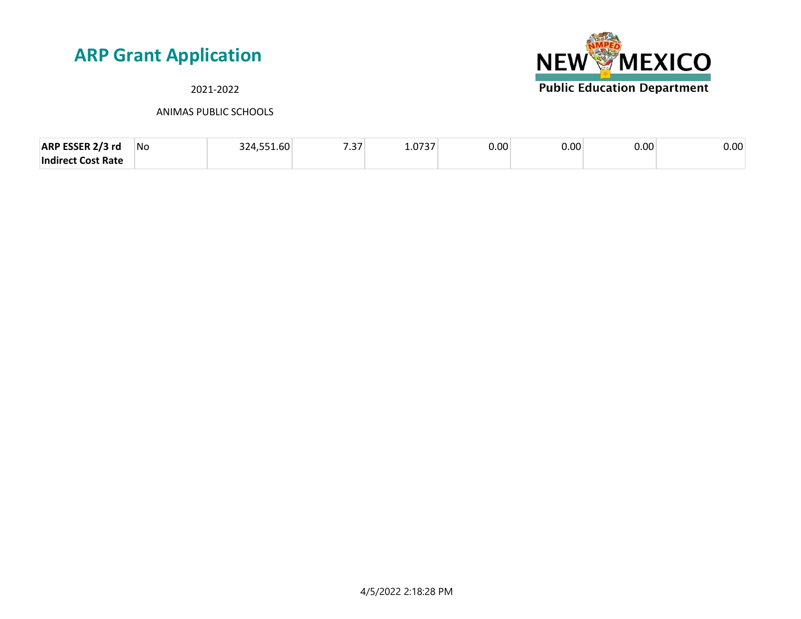#### 2021-2022



| ARP ESSER 2/3 rd          | No | <b>FEA CO</b><br>.4.551.0U | $- - -$<br>. ت. ۲ | דרדה<br>⊥.∪<br>, , , | $0.00^\circ$ | 0.00 | 0.00 | 0.00 |
|---------------------------|----|----------------------------|-------------------|----------------------|--------------|------|------|------|
| <b>Indirect Cost Rate</b> |    |                            |                   |                      |              |      |      |      |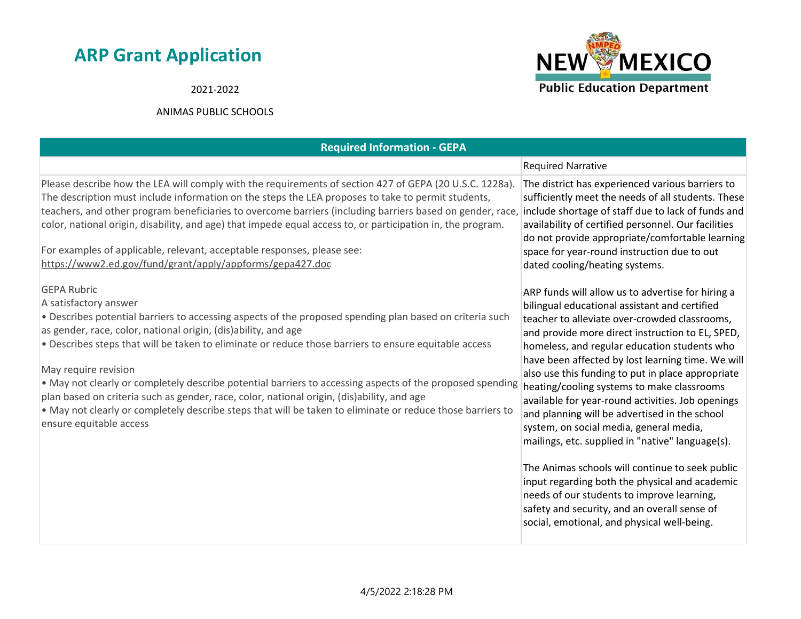#### 2021-2022



| <b>Required Information - GEPA</b>                                                                                                                                                                                                                                                                                                                                                                                                                                                                                                                                                                                                                                                                             |                                                                                                                                                                                                                                                                                                                                                                                                                                                                                                                                                                                                                                                                                                                                                                                                                                                                        |
|----------------------------------------------------------------------------------------------------------------------------------------------------------------------------------------------------------------------------------------------------------------------------------------------------------------------------------------------------------------------------------------------------------------------------------------------------------------------------------------------------------------------------------------------------------------------------------------------------------------------------------------------------------------------------------------------------------------|------------------------------------------------------------------------------------------------------------------------------------------------------------------------------------------------------------------------------------------------------------------------------------------------------------------------------------------------------------------------------------------------------------------------------------------------------------------------------------------------------------------------------------------------------------------------------------------------------------------------------------------------------------------------------------------------------------------------------------------------------------------------------------------------------------------------------------------------------------------------|
|                                                                                                                                                                                                                                                                                                                                                                                                                                                                                                                                                                                                                                                                                                                | <b>Required Narrative</b>                                                                                                                                                                                                                                                                                                                                                                                                                                                                                                                                                                                                                                                                                                                                                                                                                                              |
| Please describe how the LEA will comply with the requirements of section 427 of GEPA (20 U.S.C. 1228a).<br>The description must include information on the steps the LEA proposes to take to permit students,<br>teachers, and other program beneficiaries to overcome barriers (including barriers based on gender, race, include shortage of staff due to lack of funds and<br>color, national origin, disability, and age) that impede equal access to, or participation in, the program.<br>For examples of applicable, relevant, acceptable responses, please see:<br>https://www2.ed.gov/fund/grant/apply/appforms/gepa427.doc                                                                           | The district has experienced various barriers to<br>sufficiently meet the needs of all students. These<br>availability of certified personnel. Our facilities<br>do not provide appropriate/comfortable learning<br>space for year-round instruction due to out<br>dated cooling/heating systems.                                                                                                                                                                                                                                                                                                                                                                                                                                                                                                                                                                      |
| <b>GEPA Rubric</b><br>A satisfactory answer<br>. Describes potential barriers to accessing aspects of the proposed spending plan based on criteria such<br>as gender, race, color, national origin, (dis)ability, and age<br>. Describes steps that will be taken to eliminate or reduce those barriers to ensure equitable access<br>May require revision<br>. May not clearly or completely describe potential barriers to accessing aspects of the proposed spending<br>plan based on criteria such as gender, race, color, national origin, (dis)ability, and age<br>. May not clearly or completely describe steps that will be taken to eliminate or reduce those barriers to<br>ensure equitable access | ARP funds will allow us to advertise for hiring a<br>bilingual educational assistant and certified<br>teacher to alleviate over-crowded classrooms,<br>and provide more direct instruction to EL, SPED,<br>homeless, and regular education students who<br>have been affected by lost learning time. We will<br>also use this funding to put in place appropriate<br>heating/cooling systems to make classrooms<br>available for year-round activities. Job openings<br>and planning will be advertised in the school<br>system, on social media, general media,<br>mailings, etc. supplied in "native" language(s).<br>The Animas schools will continue to seek public<br>input regarding both the physical and academic<br>needs of our students to improve learning,<br>safety and security, and an overall sense of<br>social, emotional, and physical well-being. |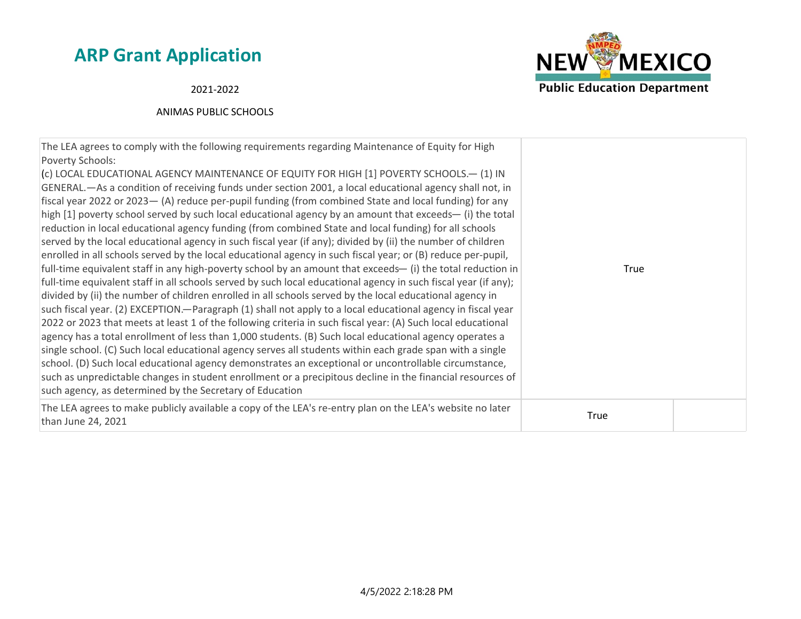

2021-2022

| The LEA agrees to comply with the following requirements regarding Maintenance of Equity for High<br>Poverty Schools:<br>(c) LOCAL EDUCATIONAL AGENCY MAINTENANCE OF EQUITY FOR HIGH [1] POVERTY SCHOOLS.-- (1) IN<br>GENERAL.—As a condition of receiving funds under section 2001, a local educational agency shall not, in<br>fiscal year 2022 or 2023 - (A) reduce per-pupil funding (from combined State and local funding) for any<br>high [1] poverty school served by such local educational agency by an amount that exceeds— (i) the total<br>reduction in local educational agency funding (from combined State and local funding) for all schools<br>served by the local educational agency in such fiscal year (if any); divided by (ii) the number of children<br>enrolled in all schools served by the local educational agency in such fiscal year; or (B) reduce per-pupil,<br>full-time equivalent staff in any high-poverty school by an amount that exceeds- (i) the total reduction in<br>full-time equivalent staff in all schools served by such local educational agency in such fiscal year (if any);<br>divided by (ii) the number of children enrolled in all schools served by the local educational agency in<br>such fiscal year. (2) EXCEPTION—Paragraph (1) shall not apply to a local educational agency in fiscal year<br>2022 or 2023 that meets at least 1 of the following criteria in such fiscal year: (A) Such local educational<br>agency has a total enrollment of less than 1,000 students. (B) Such local educational agency operates a<br>single school. (C) Such local educational agency serves all students within each grade span with a single<br>school. (D) Such local educational agency demonstrates an exceptional or uncontrollable circumstance,<br>such as unpredictable changes in student enrollment or a precipitous decline in the financial resources of<br>such agency, as determined by the Secretary of Education | True |  |
|-------------------------------------------------------------------------------------------------------------------------------------------------------------------------------------------------------------------------------------------------------------------------------------------------------------------------------------------------------------------------------------------------------------------------------------------------------------------------------------------------------------------------------------------------------------------------------------------------------------------------------------------------------------------------------------------------------------------------------------------------------------------------------------------------------------------------------------------------------------------------------------------------------------------------------------------------------------------------------------------------------------------------------------------------------------------------------------------------------------------------------------------------------------------------------------------------------------------------------------------------------------------------------------------------------------------------------------------------------------------------------------------------------------------------------------------------------------------------------------------------------------------------------------------------------------------------------------------------------------------------------------------------------------------------------------------------------------------------------------------------------------------------------------------------------------------------------------------------------------------------------------------------------------------------------------------------------------------------------------|------|--|
| The LEA agrees to make publicly available a copy of the LEA's re-entry plan on the LEA's website no later<br>than June 24, 2021                                                                                                                                                                                                                                                                                                                                                                                                                                                                                                                                                                                                                                                                                                                                                                                                                                                                                                                                                                                                                                                                                                                                                                                                                                                                                                                                                                                                                                                                                                                                                                                                                                                                                                                                                                                                                                                     | True |  |
|                                                                                                                                                                                                                                                                                                                                                                                                                                                                                                                                                                                                                                                                                                                                                                                                                                                                                                                                                                                                                                                                                                                                                                                                                                                                                                                                                                                                                                                                                                                                                                                                                                                                                                                                                                                                                                                                                                                                                                                     |      |  |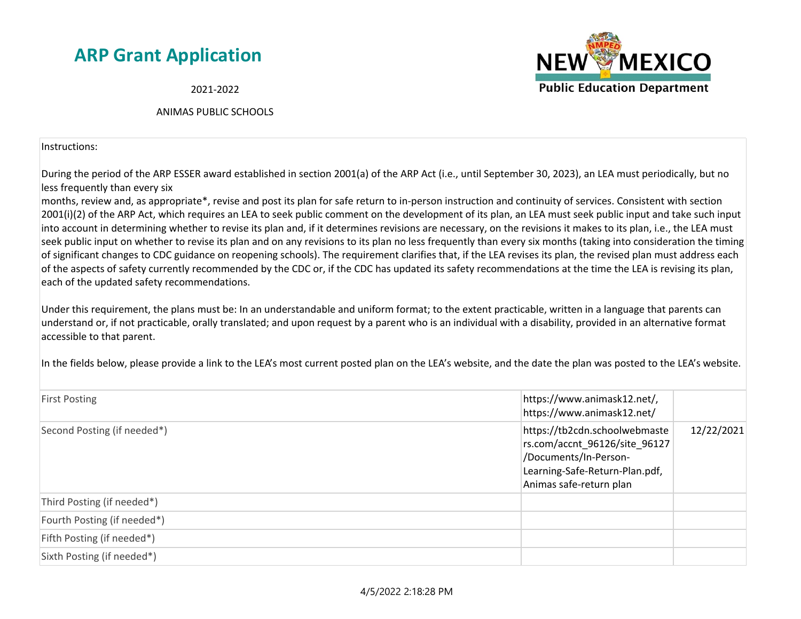2021-2022

ANIMAS PUBLIC SCHOOLS

Instructions:

During the period of the ARP ESSER award established in section 2001(a) of the ARP Act (i.e., until September 30, 2023), an LEA must periodically, but no less frequently than every six

months, review and, as appropriate\*, revise and post its plan for safe return to in-person instruction and continuity of services. Consistent with section 2001(i)(2) of the ARP Act, which requires an LEA to seek public comment on the development of its plan, an LEA must seek public input and take such input into account in determining whether to revise its plan and, if it determines revisions are necessary, on the revisions it makes to its plan, i.e., the LEA must seek public input on whether to revise its plan and on any revisions to its plan no less frequently than every six months (taking into consideration the timing of significant changes to CDC guidance on reopening schools). The requirement clarifies that, if the LEA revises its plan, the revised plan must address each of the aspects of safety currently recommended by the CDC or, if the CDC has updated its safety recommendations at the time the LEA is revising its plan, each of the updated safety recommendations.

Under this requirement, the plans must be: In an understandable and uniform format; to the extent practicable, written in a language that parents can understand or, if not practicable, orally translated; and upon request by a parent who is an individual with a disability, provided in an alternative format accessible to that parent.

In the fields below, please provide a link to the LEA's most current posted plan on the LEA's website, and the date the plan was posted to the LEA's website.

| <b>First Posting</b>        | https://www.animask12.net/,<br>https://www.animask12.net/                                                                                            |            |
|-----------------------------|------------------------------------------------------------------------------------------------------------------------------------------------------|------------|
| Second Posting (if needed*) | https://tb2cdn.schoolwebmaste<br>rs.com/accnt_96126/site_96127<br>/Documents/In-Person-<br>Learning-Safe-Return-Plan.pdf,<br>Animas safe-return plan | 12/22/2021 |
| Third Posting (if needed*)  |                                                                                                                                                      |            |
| Fourth Posting (if needed*) |                                                                                                                                                      |            |
| Fifth Posting (if needed*)  |                                                                                                                                                      |            |
| Sixth Posting (if needed*)  |                                                                                                                                                      |            |